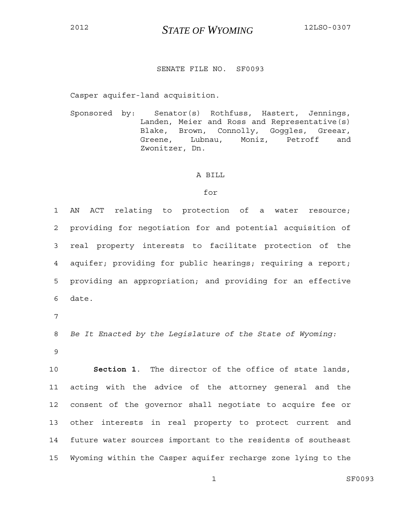<sup>2012</sup>*STATE OF WYOMING* 12LSO-0307

## SENATE FILE NO. SF0093

Casper aquifer-land acquisition.

Sponsored by: Senator(s) Rothfuss, Hastert, Jennings, Landen, Meier and Ross and Representative(s) Blake, Brown, Connolly, Goggles, Greear, Greene, Lubnau, Moniz, Petroff and Zwonitzer, Dn.

## A BILL

## for

1 AN ACT relating to protection of a water resource; 2 providing for negotiation for and potential acquisition of 3 real property interests to facilitate protection of the 4 aquifer; providing for public hearings; requiring a report; 5 providing an appropriation; and providing for an effective 6 date. 7 8 *Be It Enacted by the Legislature of the State of Wyoming:*

9

10 **Section 1**. The director of the office of state lands, 11 acting with the advice of the attorney general and the 12 consent of the governor shall negotiate to acquire fee or 13 other interests in real property to protect current and 14 future water sources important to the residents of southeast 15 Wyoming within the Casper aquifer recharge zone lying to the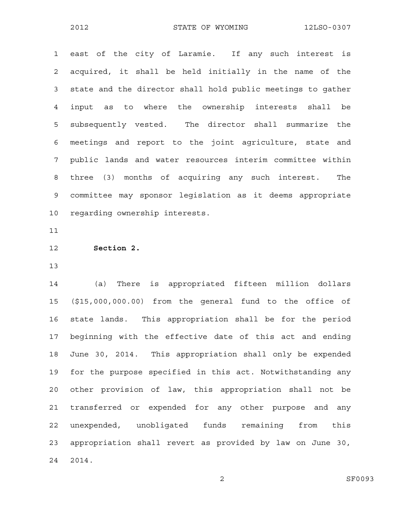1 east of the city of Laramie. If any such interest is 2 acquired, it shall be held initially in the name of the 3 state and the director shall hold public meetings to gather 4 input as to where the ownership interests shall be 5 subsequently vested. The director shall summarize the 6 meetings and report to the joint agriculture, state and 7 public lands and water resources interim committee within 8 three (3) months of acquiring any such interest. The 9 committee may sponsor legislation as it deems appropriate 10 regarding ownership interests.

11

12 **Section 2.**

13

14 (a) There is appropriated fifteen million dollars 15 (\$15,000,000.00) from the general fund to the office of 16 state lands. This appropriation shall be for the period 17 beginning with the effective date of this act and ending 18 June 30, 2014. This appropriation shall only be expended 19 for the purpose specified in this act. Notwithstanding any 20 other provision of law, this appropriation shall not be 21 transferred or expended for any other purpose and any 22 unexpended, unobligated funds remaining from this 23 appropriation shall revert as provided by law on June 30, 24 2014.